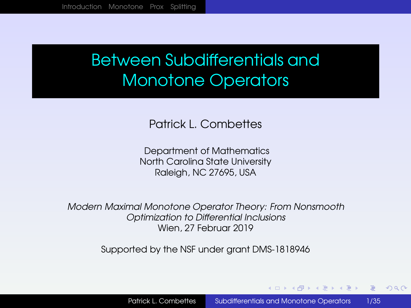# <span id="page-0-0"></span>Between Subdifferentials and Monotone Operators

Patrick L. Combettes

Department of Mathematics North Carolina State University Raleigh, NC 27695, USA

*Modern Maximal Monotone Operator Theory: From Nonsmooth Optimization to Differential Inclusions* Wien, 27 Februar 2019

Supported by the NSF under grant DMS-1818946

**≮ロト ⊀何ト ⊀ ヨト ⊀ ヨト** 

 $2990$ ≡.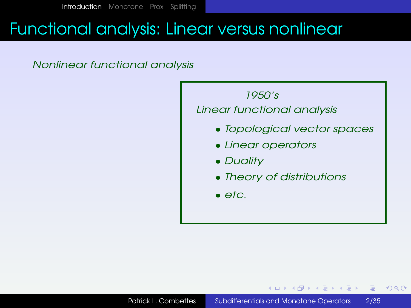### <span id="page-1-0"></span>Functional analysis: Linear versus nonlinear

#### *Nonlinear functional analysis*



 $\equiv$ 

④ 重 図 ④ 重 図 …

 $2990$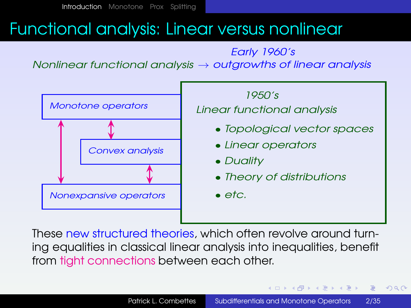# Functional analysis: Linear versus nonlinear

*Nonlinear functional analysis* → *outgrowths of linear analysis Early 1960's*



These new structured theories, which often revolve around turning equalities in classical linear analysis into inequalities, benefit from tight connections between each other.

**≮ロ ▶ ⊀ 何 ▶ ⊀ ヨ ▶ ⊀ ヨ ▶** 

(B)  $2990$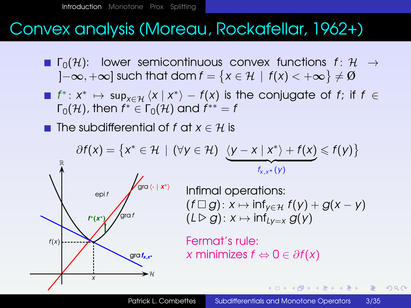# Convex analysis (Moreau, Rockafellar, 1962+)

- **Γ**<sub>0</sub>(H): lower semicontinuous convex functions  $f: H \rightarrow$ ]−∞, +∞] such that dom  $f = \{x \in \mathcal{H} \, \mid \, f(x) < +\infty\} \neq \text{\O}$
- $f^*: x^* \mapsto \sup_{x \in \mathcal{H}} \langle x \mid x^* \rangle f(x)$  is the conjugate of  $f$ ; if  $f \in$  $\Gamma_0(\mathcal{H})$ , then  $f^*\in\Gamma_0(\mathcal{H})$  and  $f^{**}=f$
- The subdifferential of f at  $x \in \mathcal{H}$  is

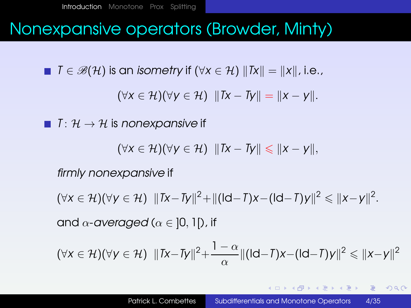### Nonexpansive operators (Browder, Minty)

**■**  $\overline{I} \in \mathscr{B}(\mathcal{H})$  is an *isometry* if  $(\forall x \in \mathcal{H})$   $||Tx|| = ||x||$ , i.e.,

 $(\forall x \in \mathcal{H})(\forall y \in \mathcal{H})$   $\|Tx - Ty\| = \|x - y\|.$ 

 $\blacksquare$  *T* :  $\mathcal{H} \rightarrow \mathcal{H}$  is *nonexpansive* if

$$
(\forall x \in \mathcal{H})(\forall y \in \mathcal{H}) \ \|Tx - Ty\| \leqslant \|x - y\|,
$$

*firmly nonexpansive* if

 $(\forall x \in \mathcal{H})(\forall y \in \mathcal{H})$   $||Tx - Ty||^2 + ||(\mathsf{Id} - T)x - (\mathsf{Id} - T)y||^2 \le ||x - y||^2$ . and  $\alpha$ -*averaged* ( $\alpha \in$  10, 11), if

$$
(\forall x \in \mathcal{H})(\forall y \in \mathcal{H}) \quad \|Tx - Ty\|^2 + \frac{1 - \alpha}{\alpha} \|(dd - T)x - (dd - T)y\|^2 \leq \|x - y\|^2
$$

**KED KAP KED KED E VAA**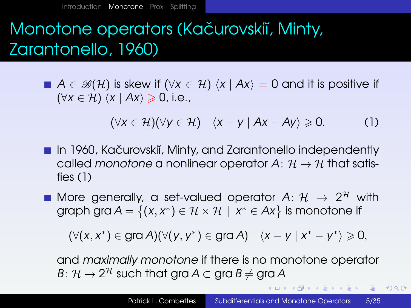# <span id="page-5-0"></span>Monotone operators (Kačurovskiı̆, Minty, Zarantonello, 1960)

**■**  $A \in \mathscr{B}(\mathcal{H})$  is skew if  $(\forall x \in \mathcal{H})$   $\langle x | Ax \rangle = 0$  and it is positive if  $(\forall x \in \mathcal{H})$   $\langle x | Ax \rangle \geq 0$ , i.e.,

<span id="page-5-1"></span> $(\forall x \in \mathcal{H})(\forall y \in \mathcal{H})$   $\langle x - y | Ax - Ay \rangle \ge 0.$  (1)

- **In 1960, Kačurovskiĭ, Minty, and Zarantonello independently** called *monotone* a nonlinear operator  $A: \mathcal{H} \to \mathcal{H}$  that satisfies [\(1\)](#page-5-1)
- More generally, a set-valued operator  $A\colon\mathcal{H}\;\rightarrow\;2^{\mathcal{H}}$  with graph gra  $A = \{(x, x^*) \in \mathcal{H} \times \mathcal{H} \mid x^* \in Ax\}$  is monotone if

(∀(*x*, *x* ∗ ) ∈ gra *A*)(∀(*y*, *y* ∗ ) ∈ gra *A*) h*x* − *y* | *x* <sup>∗</sup> − *y* ∗ i > 0,

and *maximally monotone* if there is no monotone operator  $B\colon\mathcal{H}\to 2^{\mathcal{H}}$  such that gra  $A\subset\mathop{\mathrm{gra}} B\neq\mathop{\mathrm{gra}} A$ 

K ロ ▶ K @ ▶ K ミ X K ミ X ミ → 9 Q Q Q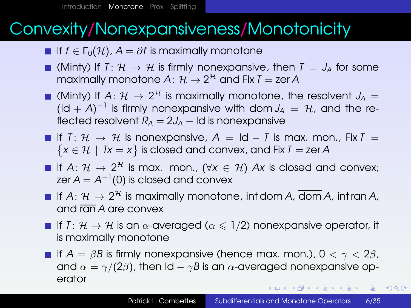# Convexity/Nonexpansiveness/Monotonicity

- **■** If  $f \in \Gamma_0(\mathcal{H})$ ,  $A = \partial f$  is maximally monotone
- $\blacksquare$  (Minty) If  $T: \mathcal{H} \to \mathcal{H}$  is firmly nonexpansive, then  $T = J_A$  for some maximally monotone  $A\colon \mathcal{H} \to 2^{\mathcal{H}}$  and Fix  $I =$  zer  $A$
- (Minty) If  $A: \mathcal{H} \rightarrow 2^{\mathcal{H}}$  is maximally monotone, the resolvent  $J_A =$  $(\mathsf{Id} + \mathsf{A})^{-1}$  is firmly nonexpansive with dom  $J_A = \mathcal{H}$ , and the reflected resolvent  $R_A = 2J_A -$  Id is nonexpansive
- $\blacksquare$  If *T*:  $\mathcal{H} \rightarrow \mathcal{H}$  is nonexpansive,  $A = \blacksquare d T$  is max. mon., Fix  $T =$  $\{x \in \mathcal{H} \mid Tx = x\}$  is closed and convex, and Fix *T* = zer *A*
- If  $A\colon\mathcal{H}\,\rightarrow\,2^{\mathcal{H}}$  is max. mon.,  $(\forall x\,\in\,\mathcal{H})$   $Ax$  is closed and convex; zer  $A=A^{-1}(0)$  is closed and convex
- If  $A\colon\mathcal{H}\to 2^{\mathcal{H}}$  is maximally monotone, int dom  $A$ ,  $\overline{\text{dom}}\,A$ , int ran  $A$ , and ran *A* are convex
- If *T* :  $\mathcal{H} \to \mathcal{H}$  is an  $\alpha$ -averaged ( $\alpha \leq 1/2$ ) nonexpansive operator, it is maximally monotone
- **If**  $A = \beta B$  is firmly nonexpansive (hence max. mon.),  $0 < \gamma < 2\beta$ , and  $\alpha = \gamma/(2\beta)$ , then Id –  $\gamma B$  is an  $\alpha$ -averaged nonexpansive operator K ロ ▶ K @ ▶ K ミ X K ミ X ミ → 9 Q Q Q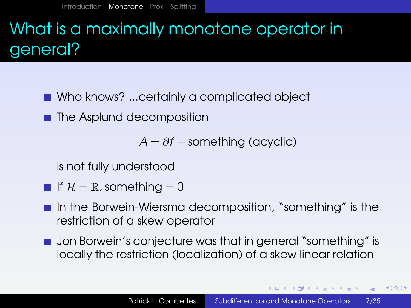# What is a maximally monotone operator in general?

- Who knows? ...certainly a complicated object
- The Asplund decomposition

 $A = \partial f +$  something (acyclic)

is not fully understood

- If  $\mathcal{H} = \mathbb{R}$ , something  $= 0$
- In the Borwein-Wiersma decomposition, "something" is the restriction of a skew operator
- **Jon Borwein's conjecture was that in general "something" is** locally the restriction (localization) of a skew linear relation

K □ ▶ K @ ▶ K ミ ▶ K ミ ▶ ...

 $PQQ$ (B)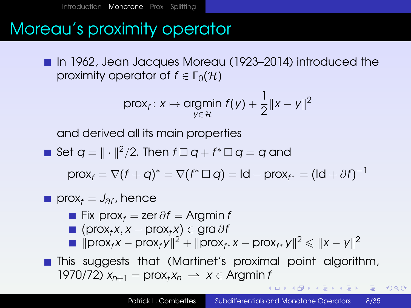# Moreau's proximity operator

■ In 1962, Jean Jacques Moreau (1923–2014) introduced the proximity operator of  $f \in \Gamma_0(\mathcal{H})$ 

$$
\text{prox}_{f}: x \mapsto \underset{y \in \mathcal{H}}{\text{argmin}} \ f(y) + \frac{1}{2} \|x - y\|^2
$$

and derived all its main properties

• Set 
$$
q = ||\cdot||^2/2
$$
. Then  $f \square q + f^* \square q = q$  and

 $\mathsf{prox}_f = \nabla (f+q)^* = \nabla (f^*\,\square\, q) = \mathsf{Id} - \mathsf{prox}_{f^*} = (\mathsf{Id} + \partial f)^{-1}$ 

■ 
$$
\text{prox}_f = J_{\partial f}
$$
, hence

- Fix prox<sub>f</sub> = zer  $\partial f$  = Argmin *f*
- (prox*<sup>f</sup> x*, *x* − prox*<sup>f</sup> x*) ∈ gra ∂*f*
- $\|\text{prox}_f x \text{prox}_f y\|^2 + \|\text{prox}_{f^*} x \text{prox}_{f^*} y\|^2 \leq \|x y\|^2$
- **This suggests that (Martinet's proximal point algorithm,** 1970/72)  $x_{n+1}$  = pro $x_f x_n \rightarrow x \in \text{Argmin } n$

**何 ▶ ◀ 草 ▶ ◀ 草 ▶ │ 草 │ ◆) Q ( Ŷ**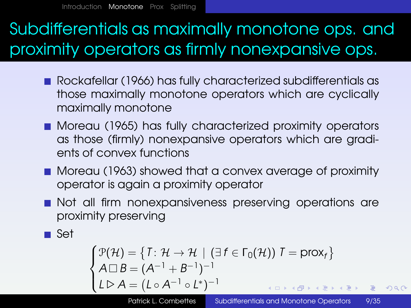# Subdifferentials as maximally monotone ops. and proximity operators as firmly nonexpansive ops.

- Rockafellar (1966) has fully characterized subdifferentials as those maximally monotone operators which are cyclically maximally monotone
- **Moreau (1965) has fully characterized proximity operators** as those (firmly) nonexpansive operators which are gradients of convex functions
- **Moreau (1963) showed that a convex average of proximity** operator is again a proximity operator
- Not all firm nonexpansiveness preserving operations are proximity preserving

**■** Set

$$
\begin{cases}\n\mathcal{P}(\mathcal{H}) = \{T: \mathcal{H} \to \mathcal{H} \mid (\exists f \in \Gamma_0(\mathcal{H})) \mid T = \text{prox}_f\} \\
A \Box B = (A^{-1} + B^{-1})^{-1} \\
L \triangleright A = (L \circ A^{-1} \circ L^*)^{-1} \\
\end{cases}
$$

 $\circ$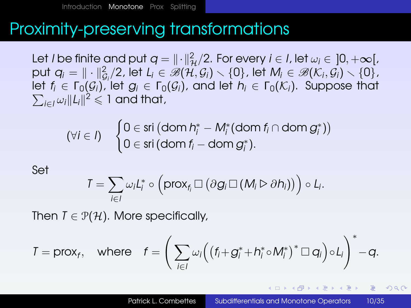# Proximity-preserving transformations

Let *I* be finite and put  $q = \|\cdot\|_{\mathcal{H}}^2/2$ . For every  $i \in I$ , let  $\omega_i \in [0, +\infty[$ ,  $\mathsf{put}\ q_i = \|\cdot\|_{\mathcal{G}_i}^2/2$ , let  $L_i\in\mathscr{B}(\mathcal{H},\mathcal{G}_i)\smallsetminus\{0\}$ , let  $M_i\in\mathscr{B}(\mathcal{K}_i,\mathcal{G}_i)\smallsetminus\{0\}$ , let  $f_i \in \Gamma_0(\mathcal{G}_i)$ , let  $g_i \in \Gamma_0(\mathcal{G}_i)$ , and let  $h_i \in \Gamma_0(\mathcal{K}_i)$ . Suppose that  $\sum_{i\in I}\omega_i\|L_i\|^2\leqslant 1$  and that,

$$
(\forall i \in I) \quad \begin{cases} 0 \in \text{sri} \left(\text{dom } h_i^* - M_i^*(\text{dom } f_i \cap \text{dom } g_i^*\right) \right) \\ 0 \in \text{sri} \left(\text{dom } f_i - \text{dom } g_i^*\right). \end{cases}
$$

Set

$$
T=\sum_{i\in I}\omega_i L_i^*\circ \left(\text{prox}_{f_i}\,\Box\, \big(\partial g_i\,\Box\,(M_i\triangleright\partial h_i)\big)\right)\circ L_i.
$$

Then  $T \in \mathcal{P}(\mathcal{H})$ . More specifically,

$$
T = \text{prox}_f, \quad \text{where} \quad f = \left(\sum_{i \in I} \omega_i \Big( \big(f_i + g_i^* + h_i^* \circ M_i^*\big)^* \square \, q_i \Big) \circ L_i \right)^* - q.
$$

(ロ)→(個)→(理)→(理)→

 $QQQ$ |重い|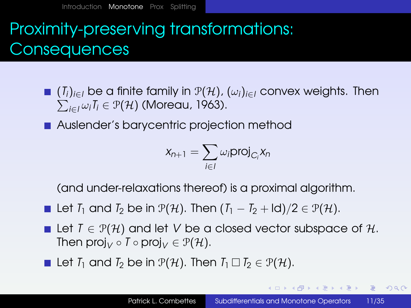# Proximity-preserving transformations: **Consequences**

P *<sup>i</sup>*∈*<sup>I</sup>* <sup>ω</sup>*iT<sup>i</sup>* <sup>∈</sup> <sup>P</sup>(H) (Moreau, 1963). (*Ti*)*i*∈*<sup>I</sup>* be a finite family in P(H), (ω*i*)*i*∈*<sup>I</sup>* convex weights. Then

**Auslender's barycentric projection method** 

$$
X_{n+1} = \sum_{i \in I} \omega_i \text{proj}_{C_i} X_n
$$

(and under-relaxations thereof) is a proximal algorithm.

Let *T*<sub>1</sub> and *T*<sub>2</sub> be in  $\mathcal{P}(\mathcal{H})$ . Then  $(T_1 - T_2 + Id)/2 \in \mathcal{P}(\mathcal{H})$ .

- Let  $I \in \mathcal{P}(\mathcal{H})$  and let V be a closed vector subspace of  $\mathcal{H}$ . Then proj<sub>V</sub>  $\circ$  *T*  $\circ$  proj<sub>V</sub>  $\in$   $\mathcal{P}(\mathcal{H})$ .
- Let *T*<sub>1</sub> and *T*<sub>2</sub> be in  $\mathcal{P}(\mathcal{H})$ . Then  $T_1 \square T_2 \in \mathcal{P}(\mathcal{H})$ .

K ロ > K 何 > K 君 > K 君 > 「君」 の Q Q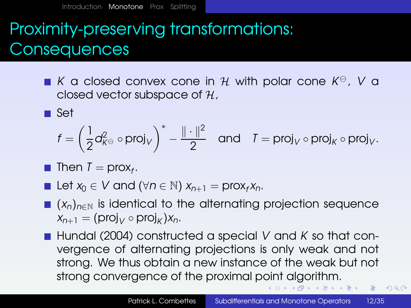[Introduction](#page-1-0) [Monotone](#page-5-0) [Prox](#page-18-0) [Splitting](#page-26-0)

# Proximity-preserving transformations: **Consequences**

 $K$  a closed convex cone in  $H$  with polar cone  $K^{\ominus}$ ,  $V$  a closed vector subspace of  $H$ ,

■ Set

$$
f = \left(\frac{1}{2}d_{K^{\ominus}}^2 \circ \text{proj}_V\right)^* - \frac{\|\cdot\|^2}{2} \quad \text{and} \quad T = \text{proj}_V \circ \text{proj}_K \circ \text{proj}_V.
$$

- Then  $T = \text{prox}_f$ .
- Let  $x_0 \in V$  and  $(\forall n \in \mathbb{N})$   $x_{n+1} = \text{prox}_f x_n$ .
- $(x_n)_{n\in\mathbb{N}}$  is identical to the alternating projection sequence  $X_{n+1} = (\text{proj}_V \circ \text{proj}_K) X_n.$
- Hundal (2004) constructed a special *V* and *K* so that convergence of alternating projections is only weak and not strong. We thus obtain a new instance of the weak but not strong convergence of the proximal point algorithm. (트) - 네트 > - 트 - 10 Q Q\*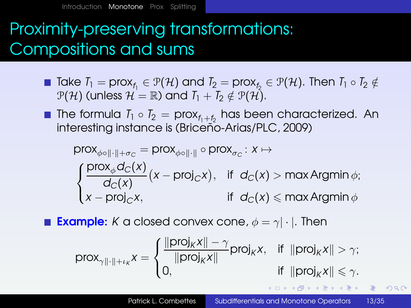# Proximity-preserving transformations: Compositions and sums

- $\textsf{Take}\ I_1 = \textsf{prox}_{f_1} \in \mathcal{P}(\mathcal{H}) \text{ and } I_2 = \textsf{prox}_{f_2} \in \mathcal{P}(\mathcal{H}). \text{ Then } I_1 \circ I_2 \notin \mathcal{H}$  $P(H)$  (unless  $H = \mathbb{R}$ ) and  $T_1 + T_2 \notin P(H)$ .
- The formula  $T_1 \circ T_2 = \text{prox}_{f_1+f_2}$  has been characterized. An interesting instance is (Briceño-Arias/PLC, 2009)

$$
\text{prox}_{\phi \circ \|\cdot\| + \sigma_C} = \text{prox}_{\phi \circ \|\cdot\|} \circ \text{prox}_{\sigma_C} : x \mapsto
$$
\n
$$
\begin{cases}\n\frac{\text{prox}_{\phi} d_C(x)}{d_C(x)} (x - \text{proj}_C x), & \text{if } d_C(x) > \max \text{Argmin } \phi; \\
x - \text{proj}_C x, & \text{if } d_C(x) \le \max \text{Argmin } \phi\n\end{cases}
$$

**Example:** K a closed convex cone,  $\phi = \gamma | \cdot |$ . Then

$$
\text{prox}_{\gamma \| \cdot \| + \iota_K} x = \begin{cases} \frac{\| \text{proj}_K x \| - \gamma}{\| \text{proj}_K x \|} \text{proj}_K x, & \text{if } \| \text{proj}_K x \| > \gamma; \\ 0, & \text{if } \| \text{proj}_K x \| \leq \gamma. \end{cases}
$$

 $2990$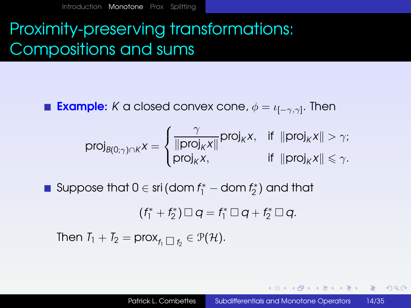# Proximity-preserving transformations: Compositions and sums

**Example:**  $K$  a closed convex cone,  $\phi = \iota_{[-\gamma, \gamma]}.$  Then

$$
\text{proj}_{\mathcal{B}(0;\gamma)\cap K}x = \begin{cases} \frac{\gamma}{\| \text{proj}_K x \|} \text{proj}_K x, & \text{if } \| \text{proj}_K x \| > \gamma; \\ \text{proj}_K x, & \text{if } \| \text{proj}_K x \| \leqslant \gamma. \end{cases}
$$

 $\textsf{Suppose that } 0 \in \textsf{sri} \left( \textsf{dom} \, f_1^* - \textsf{dom} \, f_2^* \right) \, \textsf{and that}$ 

$$
(f_1^*+f_2^*)\square q=f_1^*\square q+f_2^*\square q.
$$

Then  $T_1 + T_2 = \text{prox}_{f_1 \square f_2} \in \mathcal{P}(\mathcal{H})$ .

K ロ ▶ K @ ▶ K ミ X K ミ X ミ → 9 Q Q Q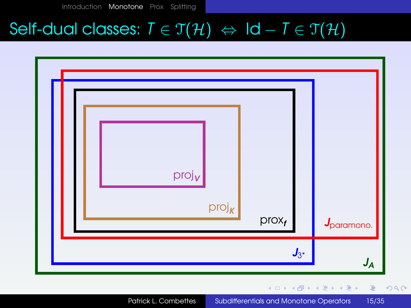# Self-dual classes:  $T \in \mathfrak{T}(\mathcal{H}) \Leftrightarrow \mathsf{Id} - T \in \mathfrak{T}(\mathcal{H})$

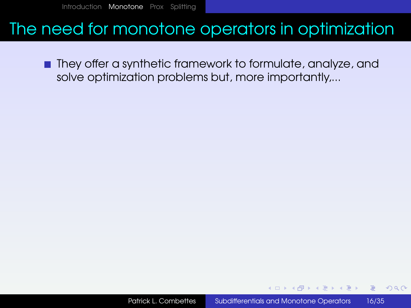#### The need for monotone operators in optimization

■ They offer a synthetic framework to formulate, analyze, and solve optimization problems but, more importantly,...

 $QQ$ 

医单位 医单位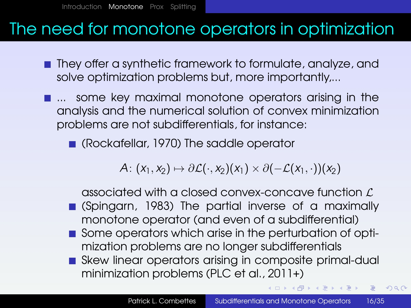#### The need for monotone operators in optimization

- **They offer a synthetic framework to formulate, analyze, and** solve optimization problems but, more importantly,...
- **...** some key maximal monotone operators arising in the analysis and the numerical solution of convex minimization problems are not subdifferentials, for instance:
	- (Rockafellar, 1970) The saddle operator

*A*:  $(x_1, x_2) \mapsto \partial \mathcal{L}(\cdot, x_2)(x_1) \times \partial (-\mathcal{L}(x_1, \cdot))(x_2)$ 

associated with a closed convex-concave function  $\mathcal L$ 

- (Spingarn, 1983) The partial inverse of a maximally monotone operator (and even of a subdifferential)
- Some operators which arise in the perturbation of optimization problems are no longer subdifferentials
- Skew linear operators arising in composite primal-dual minimization problems (PLC et al., 2011+)

◆ロト → 何ト → ヨト → ヨト →

 $E$   $\Omega$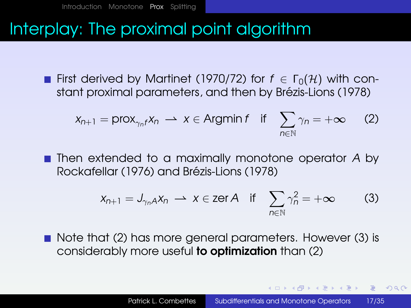# <span id="page-18-0"></span>Interplay: The proximal point algorithm

**First derived by Martinet (1970/72) for**  $f \in \Gamma_0(\mathcal{H})$  **with con**stant proximal parameters, and then by Brézis-Lions (1978)

<span id="page-18-1"></span>
$$
x_{n+1} = \text{prox}_{\gamma_n f} x_n \longrightarrow x \in \text{Argmin} \, f \quad \text{if} \quad \sum_{n \in \mathbb{N}} \gamma_n = +\infty \qquad (2)
$$

■ Then extended to a maximally monotone operator A by Rockafellar (1976) and Brézis-Lions (1978)

<span id="page-18-2"></span>
$$
x_{n+1} = J_{\gamma_n} A x_n \longrightarrow x \in \text{zer } A \quad \text{if} \quad \sum_{n \in \mathbb{N}} \gamma_n^2 = +\infty \tag{3}
$$

Note that [\(2\)](#page-18-1) has more general parameters. However [\(3\)](#page-18-2) is considerably more useful to optimization than [\(2\)](#page-18-1)

∢ ロ ▶ ( 何 ) ( ミ ) ( ミ ) ( ニ

 $QQQ$ 

(B)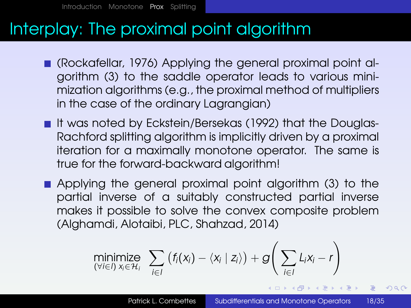# Interplay: The proximal point algorithm

- (Rockafellar, 1976) Applying the general proximal point algorithm [\(3\)](#page-18-2) to the saddle operator leads to various minimization algorithms (e.g., the proximal method of multipliers in the case of the ordinary Lagrangian)
- It was noted by Eckstein/Bersekas (1992) that the Douglas-Rachford splitting algorithm is implicitly driven by a proximal iteration for a maximally monotone operator. The same is true for the forward-backward algorithm!
- **Applying the general proximal point algorithm [\(3\)](#page-18-2) to the** partial inverse of a suitably constructed partial inverse makes it possible to solve the convex composite problem (Alghamdi, Alotaibi, PLC, Shahzad, 2014)

$$
\underset{(\forall i \in I)}{\text{minimize}} \sum_{x_i \in \mathcal{H}_i} \left( f_i(x_i) - \langle x_i \mid z_i \rangle \right) + g\left(\sum_{i \in I} L_i x_i - r\right)
$$

K □ ▶ K @ ▶ K ミ ▶ K ミ ▶ ...

 $\equiv$   $\Omega$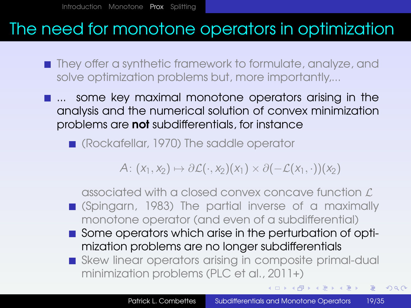### The need for monotone operators in optimization

- They offer a synthetic framework to formulate, analyze, and solve optimization problems but, more importantly,...
- **...** some key maximal monotone operators arising in the analysis and the numerical solution of convex minimization problems are not subdifferentials, for instance
	- Rockafellar, 1970) The saddle operator

*A*:  $(x_1, x_2) \mapsto \partial \mathcal{L}(\cdot, x_2)(x_1) \times \partial (-\mathcal{L}(x_1, \cdot))(x_2)$ 

associated with a closed convex concave function  $\mathcal L$ (Spingarn, 1983) The partial inverse of a maximally monotone operator (and even of a subdifferential)

- Some operators which arise in the perturbation of optimization problems are no longer subdifferentials
- Skew linear operators arising in composite primal-dual minimization problems (PLC et al., 2011+)

◆ロメ→個メ→重メ→重メー

 $E$   $\Omega$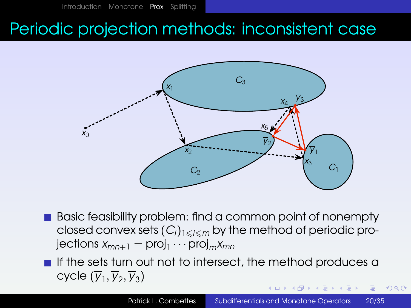### Periodic projection methods: inconsistent case



Basic feasibility problem: find a common point of nonempty closed convex sets  $(C_i)_{1\leq i\leq m}$  by the method of periodic pro- ${\sf jections} \; x_{mn+1} = {\sf proj}_1 \cdots {\sf proj}_m x_{mn}$ 

 $\blacksquare$  If the sets turn out not to intersect, the method produces a  $\textsf{cycle}\ (\overline{\mathsf{y}}_1, \overline{\mathsf{y}}_2, \overline{\mathsf{y}}_3)$ 

 $2990$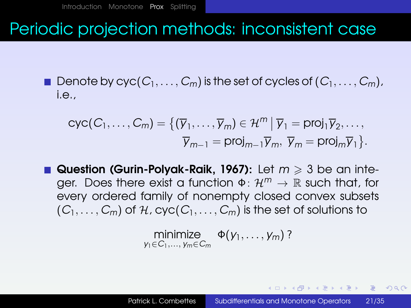### Periodic projection methods: inconsistent case

 $\blacksquare$  Denote by  $\text{cyc}(C_1, \ldots, C_m)$  is the set of  $\text{cyc}$  les of  $(C_1, \ldots, C_m)$ , i.e.,

$$
\text{cyc}(C_1,\ldots,C_m) = \{(\overline{y}_1,\ldots,\overline{y}_m) \in \mathcal{H}^m \mid \overline{y}_1 = \text{proj}_1 \overline{y}_2,\ldots, \\ \overline{y}_{m-1} = \text{proj}_{m-1} \overline{y}_m, \ \overline{y}_m = \text{proj}_m \overline{y}_1\}.
$$

**Question (Gurin-Polyak-Raik, 1967):** Let  $m \geq 3$  be an integer. Does there exist a function Φ: H*<sup>m</sup>* → R such that, for every ordered family of nonempty closed convex subsets  $(C_1, \ldots, C_m)$  of H, cyc $(C_1, \ldots, C_m)$  is the set of solutions to

$$
\underset{y_1 \in C_1, \ldots, y_m \in C_m}{\text{minimize}} \Phi(y_1, \ldots, y_m)
$$
?

K ロ ▶ K @ ▶ K ミ X K ミ X ミ → 9 Q Q Q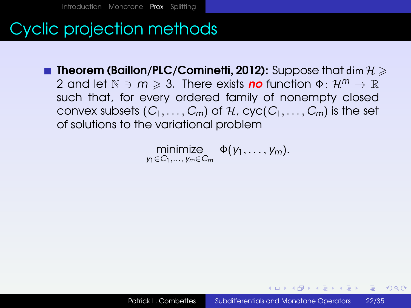# Cyclic projection methods

**Theorem (Baillon/PLC/Cominetti, 2012):** Suppose that dim  $H \geq$ 2 and let  $\mathbb{N} \ni m \geqslant 3$ . There exists **no** function  $\Phi \colon \mathcal{H}^m \to \mathbb{R}$ such that, for every ordered family of nonempty closed convex subsets  $(C_1, \ldots, C_m)$  of  $H$ ,  $cyc(C_1, \ldots, C_m)$  is the set of solutions to the variational problem

$$
\underset{y_1 \in C_1, \ldots, y_m \in C_m}{\text{minimize}} \Phi(y_1, \ldots, y_m).
$$

(B)  $PQQ$ 

何 ▶ イヨ ▶ イヨ ▶ │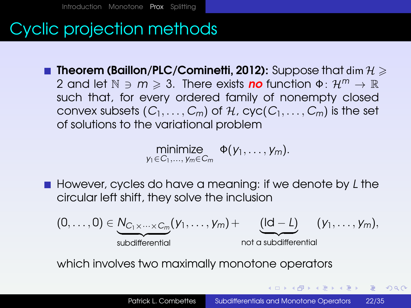# Cyclic projection methods

**Theorem (Baillon/PLC/Cominetti, 2012):** Suppose that dim  $H \geq$ 2 and let  $\mathbb{N} \ni m \geqslant 3$ . There exists **no** function  $\Phi \colon \mathcal{H}^m \to \mathbb{R}$ such that, for every ordered family of nonempty closed convex subsets  $(C_1, \ldots, C_m)$  of  $H$ ,  $cyc(C_1, \ldots, C_m)$  is the set of solutions to the variational problem

$$
\underset{y_1\in C_1,\ldots,\,y_m\in C_m}{\text{minimize}} \Phi(y_1,\ldots,y_m).
$$

■ However, cycles do have a meaning: if we denote by L the circular left shift, they solve the inclusion

$$
(0,\ldots,0)\in\underbrace{N_{C_1\times\cdots\times C_m}}_{\text{subdifferential}}(y_1,\ldots,y_m)+\underbrace{(ld-L)}_{\text{not a subdifferential}}(y_1,\ldots,y_m),
$$

which involves two maximally monotone operators

**≮ロ ▶ ⊀ 何 ▶ ⊀ ヨ ▶ ⊀ ヨ ▶** 

 $2990$ (B)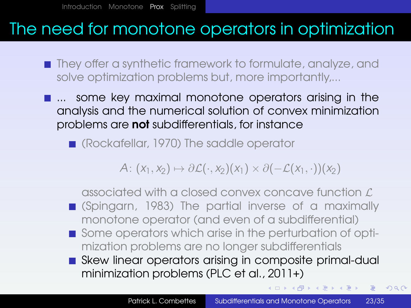### The need for monotone operators in optimization

- They offer a synthetic framework to formulate, analyze, and solve optimization problems but, more importantly,...
- **...** some key maximal monotone operators arising in the analysis and the numerical solution of convex minimization problems are not subdifferentials, for instance

Rockafellar, 1970) The saddle operator

*A*:  $(x_1, x_2) \mapsto \partial \mathcal{L}(\cdot, x_2)(x_1) \times \partial (-\mathcal{L}(x_1, \cdot))(x_2)$ 

associated with a closed convex concave function  $\mathcal L$ (Spingarn, 1983) The partial inverse of a maximally

monotone operator (and even of a subdifferential)

- Some operators which arise in the perturbation of optimization problems are no longer subdifferentials
- Skew linear operators arising in composite primal-dual minimization problems (PLC et al., 2011+)

**◆ロト ◆母ト ◆ミト →ミト** 

Georgia  $2990$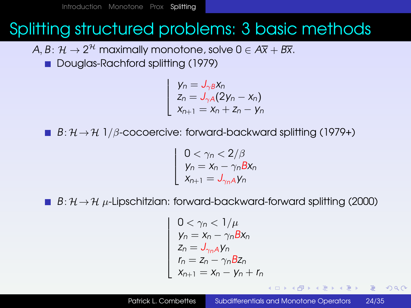# <span id="page-26-0"></span>Splitting structured problems: 3 basic methods

- $A, B \colon \mathcal{H} \to 2^{\mathcal{H}}$  maximally monotone, solve  $0 \in A\overline{\mathsf{x}} + B\overline{\mathsf{x}}.$ 
	- Douglas-Rachford splitting (1979)

$$
\begin{cases}\n y_n = J_{\gamma B} x_n \\
 z_n = J_{\gamma A} (2y_n - x_n) \\
 x_{n+1} = x_n + z_n - y_n\n\end{cases}
$$

**■**  $B: \mathcal{H} \rightarrow \mathcal{H}$  1/ $\beta$ -cocoercive: forward-backward splitting (1979+)

  $0<\gamma_{\textit{n}}<2/\beta$  $y_n = x_n - \gamma_n B x_n$  $X_{n+1} = J_{\gamma_n A} y_n$ 

**■**  $B: \mathcal{H} \rightarrow \mathcal{H}$  µ-Lipschitzian: forward-backward-forward splitting (2000)

$$
\begin{cases}\n0 < \gamma_n < 1/\mu \\
y_n = x_n - \gamma_n B x_n \\
z_n = J_{\gamma_n} \Delta y_n \\
r_n = z_n - \gamma_n B z_n \\
x_{n+1} = x_n - y_n + r_n\n\end{cases}
$$

 $\mathbb{D} \times \mathbb{R} \times \mathbb{R} \times \mathbb{R} \times \mathbb{R}$ 

 $QQQ$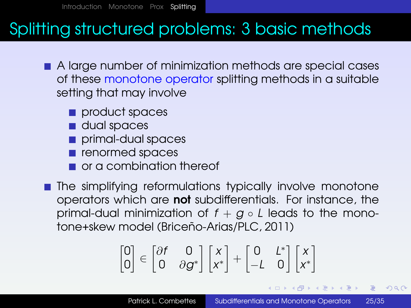# Splitting structured problems: 3 basic methods

- A large number of minimization methods are special cases of these monotone operator splitting methods in a suitable setting that may involve
	- product spaces
	- dual spaces
	- primal-dual spaces
	- **renormed spaces**
	- or a combination thereof
- **The simplifying reformulations typically involve monotone** operators which are not subdifferentials. For instance, the primal-dual minimization of  $f + g \circ L$  leads to the monotone+skew model (Briceño-Arias/PLC, 2011)

$$
\begin{bmatrix} 0 \\ 0 \end{bmatrix} \in \begin{bmatrix} \partial f & 0 \\ 0 & \partial g^* \end{bmatrix} \begin{bmatrix} x \\ x^* \end{bmatrix} + \begin{bmatrix} 0 & L^* \\ -L & 0 \end{bmatrix} \begin{bmatrix} x \\ x^* \end{bmatrix}
$$

K □ ▶ K @ ▶ K ミ ▶ K ミ ▶ ...

 $\equiv$   $\Omega$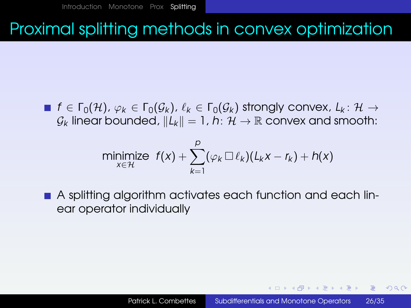# Proximal splitting methods in convex optimization

 $f \in \Gamma_0(H)$ ,  $\varphi_k \in \Gamma_0(\mathcal{G}_k)$ ,  $\ell_k \in \Gamma_0(\mathcal{G}_k)$  strongly convex,  $L_k: \mathcal{H} \to$  $\mathcal{G}_k$  linear bounded,  $||L_k|| = 1$ , *h*:  $\mathcal{H} \rightarrow \mathbb{R}$  convex and smooth:

$$
\underset{x \in \mathcal{H}}{\text{minimize}} \ \ f(x) + \sum_{k=1}^{p} (\varphi_k \, \Box \, \ell_k)(L_k x - r_k) + h(x)
$$

A splitting algorithm activates each function and each linear operator individually

KED KAP KIED KIED EL POLO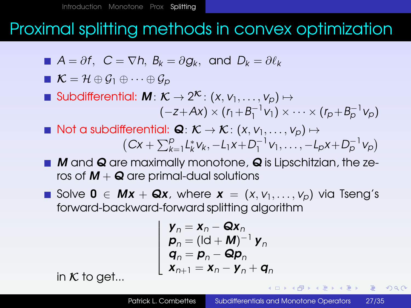### Proximal splitting methods in convex optimization

$$
\blacksquare A = \partial f, \ C = \nabla h, \ B_k = \partial g_k, \ \text{and} \ D_k = \partial \ell_k
$$

$$
\blacksquare \mathcal{K} = \mathcal{H} \oplus \mathcal{G}_1 \oplus \cdots \oplus \mathcal{G}_p
$$

- $\textsf{Subdifferential: } \textit{\textbf{M}}\colon \mathcal{K} \rightarrow 2^{\mathcal{K}}\colon (x,v_1,\ldots,v_p) \mapsto$  $(-z+Ax) \times (r_1+B_1^{-1}v_1) \times \cdots \times (r_p+B_p^{-1}v_p)$
- Not a subdifferential:  $\mathbf{Q} : \mathcal{K} \to \mathcal{K} : (x, v_1, \ldots, v_n) \mapsto$  $(Cx + \sum_{k=1}^{p} L_{k}^{*} v_{k}, -L_{1}x + D_{1}^{-1} v_{1}, \ldots, -L_{p}x + D_{p}^{-1} v_{p})$
- $\blacksquare$  M and Q are maximally monotone, Q is Lipschitzian, the zeros of  $M + Q$  are primal-dual solutions
- Solve 0 ∈  $Mx + Qx$ , where  $x = (x, v_1, \ldots, v_p)$  via Tseng's forward-backward-forward splitting algorithm

$$
\begin{cases}\n\mathbf{y}_n = \mathbf{x}_n - \mathbf{Q}\mathbf{x}_n \\
\mathbf{p}_n = (\mathbf{Id} + \mathbf{M})^{-1} \mathbf{y}_n \\
\mathbf{q}_n = \mathbf{p}_n - \mathbf{Q}\mathbf{p}_n \\
\mathbf{x}_{n+1} = \mathbf{x}_n - \mathbf{y}_n + \mathbf{q}_n\n\end{cases}
$$

in  $K$  to get...

 $2Q$ 

目

ヨメ イヨメー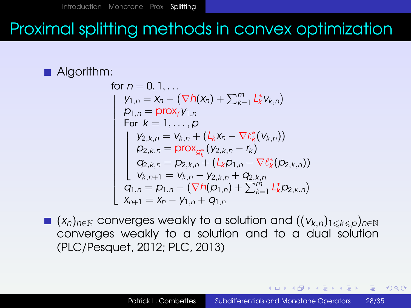# Proximal splitting methods in convex optimization

#### Algorithm:

for 
$$
n = 0, 1, ...
$$
  
\n
$$
\begin{cases}\ny_{1,n} = x_n - (\nabla h(x_n) + \sum_{k=1}^m L_k^* v_{k,n}) \\
p_{1,n} = \text{prox}_f y_{1,n} \\
\text{For } k = 1, ..., p \\
y_{2,k,n} = v_{k,n} + (L_k x_n - \nabla \ell_k^* (v_{k,n})) \\
p_{2,k,n} = \text{prox}_{g_k^*} (y_{2,k,n} - r_k) \\
q_{2,k,n} = p_{2,k,n} + (L_k p_{1,n} - \nabla \ell_k^* (p_{2,k,n})) \\
v_{k,n+1} = v_{k,n} - y_{2,k,n} + q_{2,k,n} \\
q_{1,n} = p_{1,n} - (\nabla h(p_{1,n}) + \sum_{k=1}^m L_k^* p_{2,k,n}) \\
x_{n+1} = x_n - y_{1,n} + q_{1,n}\n\end{cases}
$$

■  $(x_n)_{n \in \mathbb{N}}$  converges weakly to a solution and  $((v_{k,n})_{1 \leq k \leq p})_{n \in \mathbb{N}}$ converges weakly to a solution and to a dual solution (PLC/Pesquet, 2012; PLC, 2013)

 $QQQ$ 

目

何 ▶ イヨ ▶ イヨ ▶ │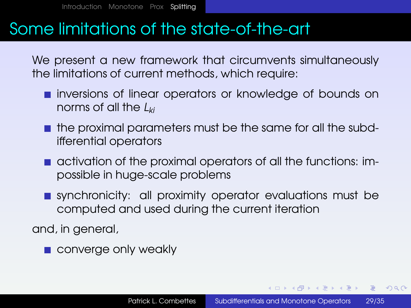#### Some limitations of the state-of-the-art

We present a new framework that circumvents simultaneously the limitations of current methods, which require:

- $\blacksquare$  inversions of linear operators or knowledge of bounds on norms of all the *Lki*
- **the proximal parameters must be the same for all the subd**ifferential operators
- activation of the proximal operators of all the functions: impossible in huge-scale problems
- synchronicity: all proximity operator evaluations must be computed and used during the current iteration

and, in general,

**converge only weakly** 

KED KARD KID KID KID KORA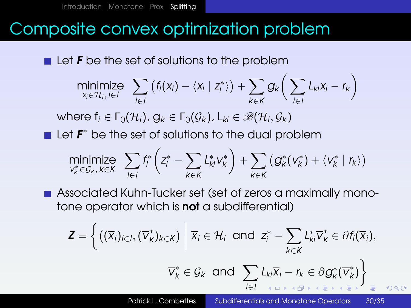# Composite convex optimization problem

 $\blacksquare$  Let **F** be the set of solutions to the problem

$$
\underset{x_i \in \mathcal{H}_i, i \in I}{\text{minimize}} \quad \sum_{i \in I} \left( f_i(x_i) - \langle x_i \mid z_i^* \rangle \right) + \sum_{k \in K} g_k \bigg( \sum_{i \in I} L_{ki} x_i - r_k \bigg)
$$

 $\forall$  where  $f_i \in \Gamma_0(\mathcal{H}_i)$ ,  $g_k \in \Gamma_0(\mathcal{G}_k)$ ,  $L_{ki} \in \mathscr{B}(\mathcal{H}_i, \mathcal{G}_k)$ 

Let  $F^*$  be the set of solutions to the dual problem

$$
\underset{\mathbf{v}_k^* \in \mathcal{G}_k, k \in K}{\text{minimize}} \quad \sum_{i \in I} f_i^* \left( z_i^* - \sum_{k \in K} L_{ki}^* \mathbf{v}_k^* \right) + \sum_{k \in K} \left( g_k^*(\mathbf{v}_k^*) + \langle \mathbf{v}_k^* | r_k \rangle \right)
$$

Associated Kuhn-Tucker set (set of zeros a maximally monotone operator which is **not** a subdifferential)

$$
\mathbf{Z} = \left\{ \left( (\overline{x}_i)_{i \in I}, (\overline{v}_k^*)_{k \in K} \right) \middle| \overline{x}_i \in \mathcal{H}_i \text{ and } z_i^* - \sum_{k \in K} L_{ki}^* \overline{v}_k^* \in \partial f_i(\overline{x}_i),
$$

$$
\overline{v}_k^* \in \mathcal{G}_k \text{ and } \sum_{i \in I} L_{ki} \overline{x}_i - r_k \in \partial g_k^* (\overline{v}_k^*) \right\}
$$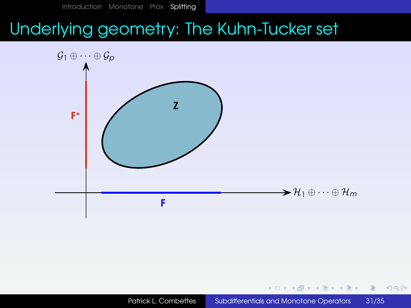# Underlying geometry: The Kuhn-Tucker set



4日)

目

目

 $299$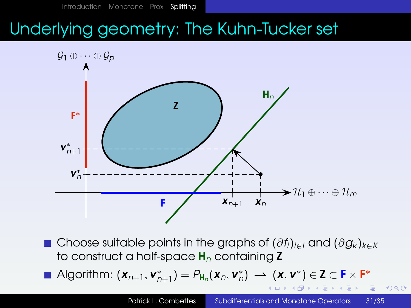# Underlying geometry: The Kuhn-Tucker set



Choose suitable points in the graphs of (∂*fi*)*i*∈*<sup>I</sup>* and (∂*g<sup>k</sup>* )*k*∈*<sup>K</sup>* to construct a half-space H*<sup>n</sup>* containing Z

Algorithm:  $(\mathbf{x}_{n+1}, \mathbf{v}_{n+1}^*) = P_{\mathbf{H}_n}(\mathbf{x}_n, \mathbf{v}_n^*) \longrightarrow (\mathbf{x}, \mathbf{v}^*) \in \mathbf{Z} \subset \mathbf{F} \times \mathbf{F}^*$ 

 $2Q$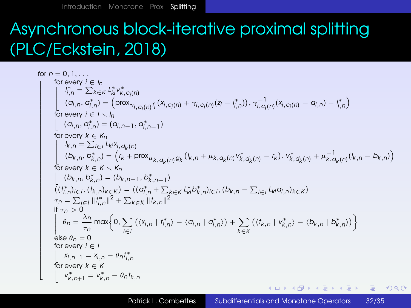# Asynchronous block-iterative proximal splitting (PLC/Eckstein, 2018)

for 
$$
n = 0, 1, ...
$$
  
\nfor every  $i \in I_n$   
\n
$$
\begin{cases}\n\int_{i,n}^{n} \sum_{k \in K} L_{ik}^{*} v_{k,c_{i}}^{*}(n) \\
\int_{i,n}^{n} \sum_{k \in K} L_{ik}^{*} v_{k,c_{i}}^{*}(n) \\
\int_{i}^{n} (a_{i,n}, \sigma_{i,n}^{*}) = (\text{prox}_{\gamma_{i,c_{i}}(n)} f_{i}(x_{i,c_{i}}(n) + \gamma_{i,c_{i}}(n)(z_{i} - I_{i,n}^{*}))), \gamma_{i,c_{i}}^{-1}(n)(x_{i,c_{i}}(n) - \alpha_{i,n}) - I_{i,n}^{*}\n\end{cases}
$$
\nfor every  $i \in I \setminus I_n$   
\n
$$
\begin{cases}\n(a_{i,n}, \sigma_{i,n}^{*}) = (a_{i,n-1}, \sigma_{i,n-1}^{*}) \\
(a_{i,n}, \sigma_{i,n}^{*}) = (a_{i,n-1}, \sigma_{i,n-1}^{*}) \\
\text{for every } k \in K_n \\
\int_{i}^{n} (b_{k,n}, b_{k,n}^{*}) = (r_k + \text{prox}_{\mu_k, d_k(n)} g_k(l_k, n + \mu_k, d_k(n) v_{k,d_k(n)}^{*} - r_k), v_{k,d_k(n)}^{*} + \mu_{k,d_k(n)}^{-1}(l_k, n - b_{k,n})) \\
\text{for every } k \in K \setminus K_n \\
\int_{i}^{n} (b_{k,n}, b_{k,n}^{*}) = (b_{k,n-1}, b_{k,n-1}^{*}) \\
\int_{i}^{n} (f_{i,n}^{*})_{i=1}, (f_{k,n})_{k \in K} = ((\sigma_{i,n}^{*} + \sum_{k \in K} L_{ik}^{*} b_{k,n}^{*})_{i \in I}, (b_{k,n} - \sum_{i \in I} L_{ki} a_{i,n})_{k \in K}) \\
\int_{i}^{n} a_{n} = \sum_{i \in I} |f_{i,n}^{*}|^{2} + \sum_{k \in K} |f_{k,n}|^{2} \\
\int_{i}^{n} a_{n} = \frac{\lambda_{n}}{\tau_{n}} \max\left\{0, \sum_{i \in I} (\langle x_{i,n} | f_{i,n}^{*} \rangle - \langle a_{i,n} | \sigma_{i,n}^{*} \rangle) + \sum_{k \in K}
$$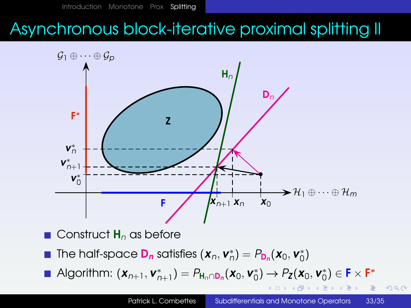# Asynchronous block-iterative proximal splitting II



 $2Q$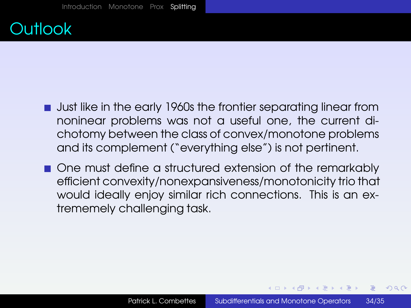

- **Just like in the early 1960s the frontier separating linear from** noninear problems was not a useful one, the current dichotomy between the class of convex/monotone problems and its complement ("everything else") is not pertinent.
- One must define a structured extension of the remarkably efficient convexity/nonexpansiveness/monotonicity trio that would ideally enjoy similar rich connections. This is an extrememely challenging task.

同 ▶ ◀ ヨ ▶ ◀ ヨ ▶ │

 $PQQ$ ≡.